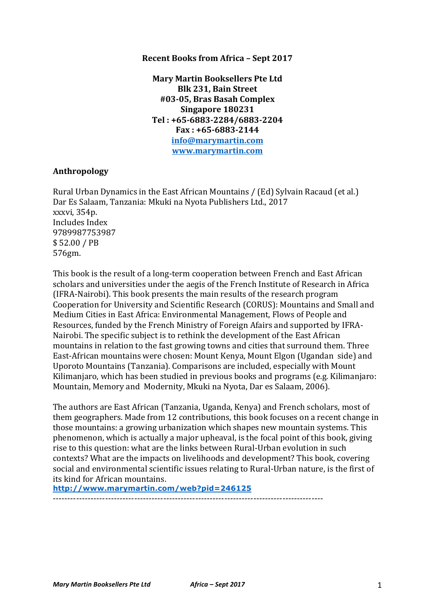### **Recent Books from Africa – Sept 2017**

**Mary Martin Booksellers Pte Ltd Blk 231, Bain Street #03-05, Bras Basah Complex Singapore 180231 Tel : +65-6883-2284/6883-2204 Fax : +65-6883-2144 info@marymartin.com www.marymartin.com**

### **Anthropology**

Rural Urban Dynamics in the East African Mountains / (Ed) Sylvain Racaud (et al.) Dar Es Salaam, Tanzania: Mkuki na Nyota Publishers Ltd., 2017 xxxvi, 354p. Includes Index 9789987753987 \$ 52.00 / PB 576gm.

This book is the result of a long-term cooperation between French and East African scholars and universities under the aegis of the French Institute of Research in Africa (IFRA-Nairobi). This book presents the main results of the research program Cooperation for University and Scientific Research (CORUS): Mountains and Small and Medium Cities in East Africa: Environmental Management, Flows of People and Resources, funded by the French Ministry of Foreign Afairs and supported by IFRA-Nairobi. The specific subject is to rethink the development of the East African mountains in relation to the fast growing towns and cities that surround them. Three East-African mountains were chosen: Mount Kenya, Mount Elgon (Ugandan side) and Uporoto Mountains (Tanzania). Comparisons are included, especially with Mount Kilimanjaro, which has been studied in previous books and programs (e.g. Kilimanjaro: Mountain, Memory and Modernity, Mkuki na Nyota, Dar es Salaam, 2006).

The authors are East African (Tanzania, Uganda, Kenya) and French scholars, most of them geographers. Made from 12 contributions, this book focuses on a recent change in those mountains: a growing urbanization which shapes new mountain systems. This phenomenon, which is actually a major upheaval, is the focal point of this book, giving rise to this question: what are the links between Rural-Urban evolution in such contexts? What are the impacts on livelihoods and development? This book, covering social and environmental scientific issues relating to Rural-Urban nature, is the first of its kind for African mountains.

**http://www.marymartin.com/web?pid=246125**

---------------------------------------------------------------------------------------------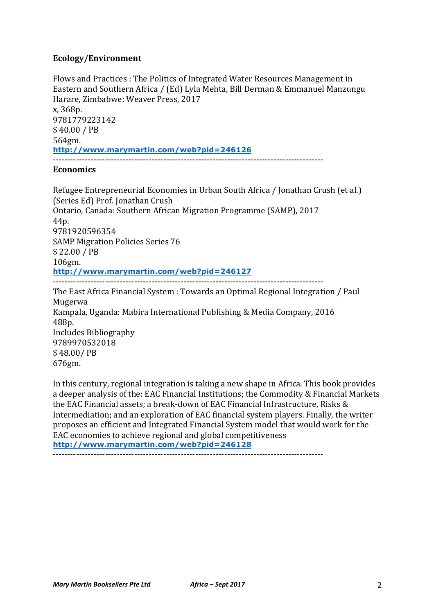### **Ecology/Environment**

Flows and Practices : The Politics of Integrated Water Resources Management in Eastern and Southern Africa / (Ed) Lyla Mehta, Bill Derman & Emmanuel Manzungu Harare, Zimbabwe: Weaver Press, 2017 x, 368p. 9781779223142 \$ 40.00 / PB 564gm. **http://www.marymartin.com/web?pid=246126** ---------------------------------------------------------------------------------------------

### **Economics**

Refugee Entrepreneurial Economies in Urban South Africa / Jonathan Crush (et al.) (Series Ed) Prof. Jonathan Crush Ontario, Canada: Southern African Migration Programme (SAMP), 2017 44p. 9781920596354 SAMP Migration Policies Series 76 \$ 22.00 / PB 106gm. **http://www.marymartin.com/web?pid=246127** --------------------------------------------------------------------------------------------- The East Africa Financial System : Towards an Optimal Regional Integration / Paul Mugerwa Kampala, Uganda: Mabira International Publishing & Media Company, 2016 488p. Includes Bibliography

9789970532018 \$ 48.00/ PB 676gm.

In this century, regional integration is taking a new shape in Africa. This book provides a deeper analysis of the: EAC Financial Institutions; the Commodity & Financial Markets the EAC Financial assets; a break-down of EAC Financial Infrastructure, Risks & Intermediation; and an exploration of EAC financial system players. Finally, the writer proposes an efficient and Integrated Financial System model that would work for the EAC economies to achieve regional and global competitiveness **http://www.marymartin.com/web?pid=246128**

---------------------------------------------------------------------------------------------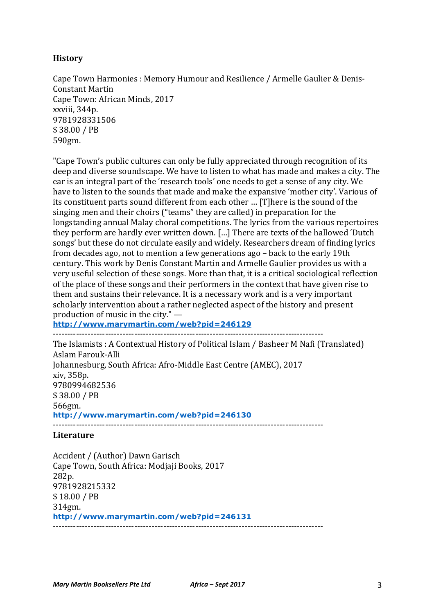## **History**

Cape Town Harmonies : Memory Humour and Resilience / Armelle Gaulier & Denis-Constant Martin Cape Town: African Minds, 2017 xxviii, 344p. 9781928331506 \$ 38.00 / PB 590gm.

"Cape Town's public cultures can only be fully appreciated through recognition of its deep and diverse soundscape. We have to listen to what has made and makes a city. The ear is an integral part of the 'research tools' one needs to get a sense of any city. We have to listen to the sounds that made and make the expansive 'mother city'. Various of its constituent parts sound different from each other ... [T]here is the sound of the singing men and their choirs ("teams" they are called) in preparation for the longstanding annual Malay choral competitions. The lyrics from the various repertoires they perform are hardly ever written down. [...] There are texts of the hallowed 'Dutch songs' but these do not circulate easily and widely. Researchers dream of finding lyrics from decades ago, not to mention a few generations ago – back to the early 19th century. This work by Denis Constant Martin and Armelle Gaulier provides us with a very useful selection of these songs. More than that, it is a critical sociological reflection of the place of these songs and their performers in the context that have given rise to them and sustains their relevance. It is a necessary work and is a very important scholarly intervention about a rather neglected aspect of the history and present production of music in the city." $-$ 

**http://www.marymartin.com/web?pid=246129**

---------------------------------------------------------------------------------------------

The Islamists : A Contextual History of Political Islam / Basheer M Nafi (Translated) Aslam Farouk-Alli Johannesburg, South Africa: Afro-Middle East Centre (AMEC), 2017 xiv, 358p. 9780994682536 \$ 38.00 / PB 566gm. **http://www.marymartin.com/web?pid=246130** ---------------------------------------------------------------------------------------------

### **Literature**

Accident / (Author) Dawn Garisch Cape Town, South Africa: Modjaji Books, 2017 282p. 9781928215332 \$ 18.00 / PB 314gm. **http://www.marymartin.com/web?pid=246131** ---------------------------------------------------------------------------------------------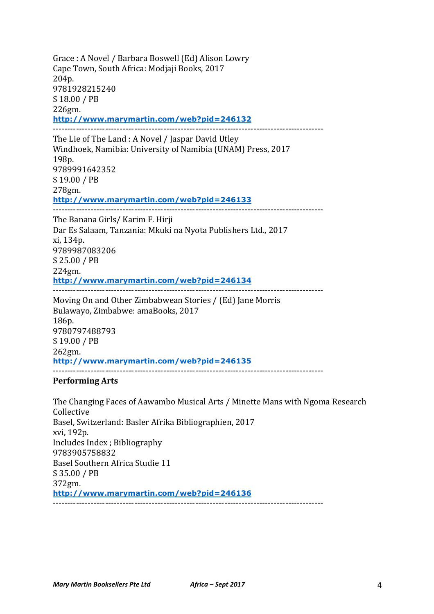Grace : A Novel / Barbara Boswell (Ed) Alison Lowry Cape Town, South Africa: Modjaji Books, 2017 204p. 9781928215240 \$ 18.00 / PB 226gm. **http://www.marymartin.com/web?pid=246132** --------------------------------------------------------------------------------------------- The Lie of The Land : A Novel / Jaspar David Utley Windhoek, Namibia: University of Namibia (UNAM) Press, 2017 198p. 9789991642352 \$ 19.00 / PB 278gm. **http://www.marymartin.com/web?pid=246133** --------------------------------------------------------------------------------------------- The Banana Girls/ Karim F. Hirji

Dar Es Salaam, Tanzania: Mkuki na Nyota Publishers Ltd., 2017 xi, 134p. 9789987083206 \$ 25.00 / PB 224gm. **http://www.marymartin.com/web?pid=246134** ---------------------------------------------------------------------------------------------

Moving On and Other Zimbabwean Stories / (Ed) Jane Morris Bulawayo, Zimbabwe: amaBooks, 2017 186p. 9780797488793 \$ 19.00 / PB 262gm. **http://www.marymartin.com/web?pid=246135** ---------------------------------------------------------------------------------------------

#### **Performing Arts**

The Changing Faces of Aawambo Musical Arts / Minette Mans with Ngoma Research Collective Basel, Switzerland: Basler Afrika Bibliographien, 2017 xvi, 192p. Includes Index ; Bibliography 9783905758832 Basel Southern Africa Studie 11 \$ 35.00 / PB 372gm. **http://www.marymartin.com/web?pid=246136** ---------------------------------------------------------------------------------------------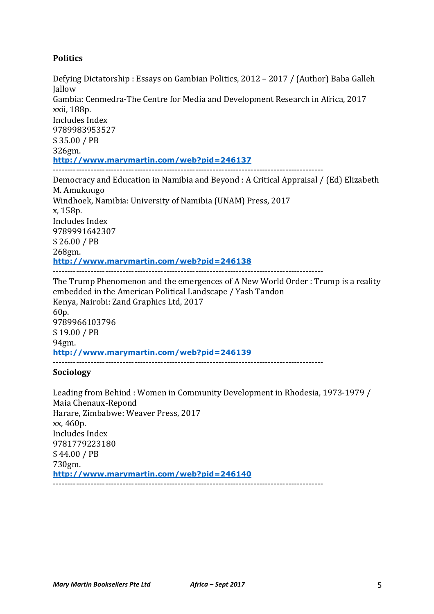# **Politics**

Defying Dictatorship : Essays on Gambian Politics, 2012 – 2017 / (Author) Baba Galleh Jallow Gambia: Cenmedra-The Centre for Media and Development Research in Africa, 2017 xxii, 188p. Includes Index 9789983953527 \$ 35.00 / PB 326gm. **http://www.marymartin.com/web?pid=246137** --------------------------------------------------------------------------------------------- Democracy and Education in Namibia and Beyond : A Critical Appraisal / (Ed) Elizabeth M. Amukuugo Windhoek, Namibia: University of Namibia (UNAM) Press, 2017 x, 158p. Includes Index 9789991642307 \$ 26.00 / PB 268gm. **http://www.marymartin.com/web?pid=246138** --------------------------------------------------------------------------------------------- The Trump Phenomenon and the emergences of A New World Order : Trump is a reality embedded in the American Political Landscape / Yash Tandon Kenya, Nairobi: Zand Graphics Ltd, 2017 60p. 9789966103796 \$ 19.00 / PB 94gm. **http://www.marymartin.com/web?pid=246139** --------------------------------------------------------------------------------------------- **Sociology**

Leading from Behind : Women in Community Development in Rhodesia, 1973-1979 / Maia Chenaux-Repond Harare, Zimbabwe: Weaver Press, 2017  $xx, 460p.$ Includes Index 9781779223180 \$ 44.00 / PB 730gm. **http://www.marymartin.com/web?pid=246140** ---------------------------------------------------------------------------------------------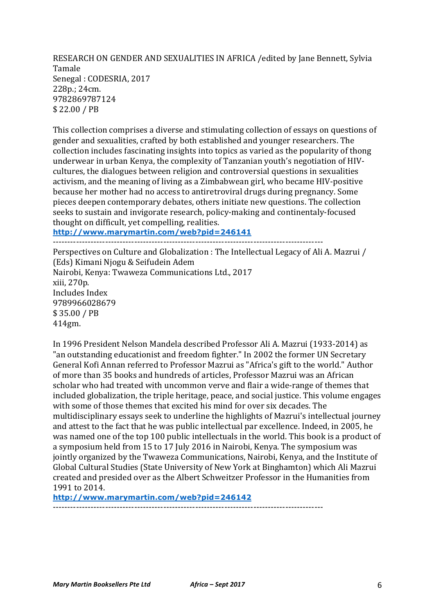RESEARCH ON GENDER AND SEXUALITIES IN AFRICA / edited by Jane Bennett, Sylvia Tamale Senegal: CODESRIA, 2017 228p.: 24cm. 9782869787124 \$ 22.00 / PB

This collection comprises a diverse and stimulating collection of essays on questions of gender and sexualities, crafted by both established and younger researchers. The collection includes fascinating insights into topics as varied as the popularity of thong underwear in urban Kenya, the complexity of Tanzanian youth's negotiation of HIVcultures, the dialogues between religion and controversial questions in sexualities activism, and the meaning of living as a Zimbabwean girl, who became HIV-positive because her mother had no access to antiretroviral drugs during pregnancy. Some pieces deepen contemporary debates, others initiate new questions. The collection seeks to sustain and invigorate research, policy-making and continentaly-focused thought on difficult, yet compelling, realities. **http://www.marymartin.com/web?pid=246141**

---------------------------------------------------------------------------------------------

Perspectives on Culture and Globalization : The Intellectual Legacy of Ali A. Mazrui / (Eds) Kimani Njogu & Seifudein Adem Nairobi, Kenya: Twaweza Communications Ltd., 2017 xiii, 270p. Includes Index 9789966028679 \$ 35.00 / PB 414gm.

In 1996 President Nelson Mandela described Professor Ali A. Mazrui (1933-2014) as "an outstanding educationist and freedom fighter." In 2002 the former UN Secretary General Kofi Annan referred to Professor Mazrui as "Africa's gift to the world." Author of more than 35 books and hundreds of articles, Professor Mazrui was an African scholar who had treated with uncommon verve and flair a wide-range of themes that included globalization, the triple heritage, peace, and social justice. This volume engages with some of those themes that excited his mind for over six decades. The multidisciplinary essays seek to underline the highlights of Mazrui's intellectual journey and attest to the fact that he was public intellectual par excellence. Indeed, in 2005, he was named one of the top 100 public intellectuals in the world. This book is a product of a symposium held from 15 to 17 July 2016 in Nairobi, Kenya. The symposium was jointly organized by the Twaweza Communications, Nairobi, Kenya, and the Institute of Global Cultural Studies (State University of New York at Binghamton) which Ali Mazrui created and presided over as the Albert Schweitzer Professor in the Humanities from 1991 to 2014.

**http://www.marymartin.com/web?pid=246142**

---------------------------------------------------------------------------------------------